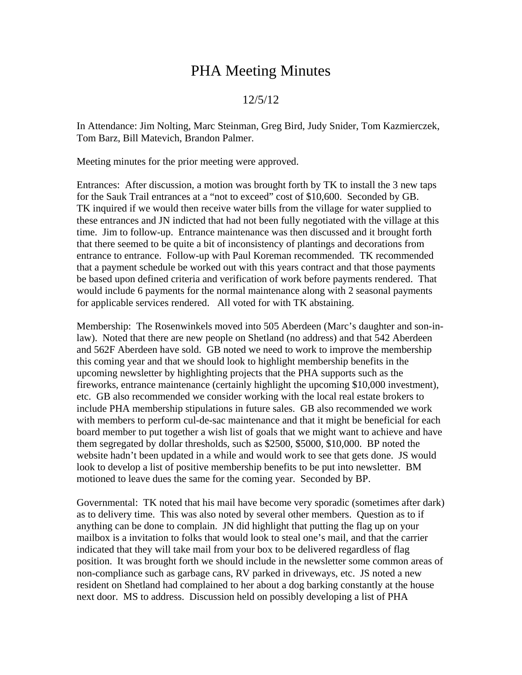## PHA Meeting Minutes

## 12/5/12

In Attendance: Jim Nolting, Marc Steinman, Greg Bird, Judy Snider, Tom Kazmierczek, Tom Barz, Bill Matevich, Brandon Palmer.

Meeting minutes for the prior meeting were approved.

Entrances: After discussion, a motion was brought forth by TK to install the 3 new taps for the Sauk Trail entrances at a "not to exceed" cost of \$10,600. Seconded by GB. TK inquired if we would then receive water bills from the village for water supplied to these entrances and JN indicted that had not been fully negotiated with the village at this time. Jim to follow-up. Entrance maintenance was then discussed and it brought forth that there seemed to be quite a bit of inconsistency of plantings and decorations from entrance to entrance. Follow-up with Paul Koreman recommended. TK recommended that a payment schedule be worked out with this years contract and that those payments be based upon defined criteria and verification of work before payments rendered. That would include 6 payments for the normal maintenance along with 2 seasonal payments for applicable services rendered. All voted for with TK abstaining.

Membership: The Rosenwinkels moved into 505 Aberdeen (Marc's daughter and son-inlaw). Noted that there are new people on Shetland (no address) and that 542 Aberdeen and 562F Aberdeen have sold. GB noted we need to work to improve the membership this coming year and that we should look to highlight membership benefits in the upcoming newsletter by highlighting projects that the PHA supports such as the fireworks, entrance maintenance (certainly highlight the upcoming \$10,000 investment), etc. GB also recommended we consider working with the local real estate brokers to include PHA membership stipulations in future sales. GB also recommended we work with members to perform cul-de-sac maintenance and that it might be beneficial for each board member to put together a wish list of goals that we might want to achieve and have them segregated by dollar thresholds, such as \$2500, \$5000, \$10,000. BP noted the website hadn't been updated in a while and would work to see that gets done. JS would look to develop a list of positive membership benefits to be put into newsletter. BM motioned to leave dues the same for the coming year. Seconded by BP.

Governmental: TK noted that his mail have become very sporadic (sometimes after dark) as to delivery time. This was also noted by several other members. Question as to if anything can be done to complain. JN did highlight that putting the flag up on your mailbox is a invitation to folks that would look to steal one's mail, and that the carrier indicated that they will take mail from your box to be delivered regardless of flag position. It was brought forth we should include in the newsletter some common areas of non-compliance such as garbage cans, RV parked in driveways, etc. JS noted a new resident on Shetland had complained to her about a dog barking constantly at the house next door. MS to address. Discussion held on possibly developing a list of PHA